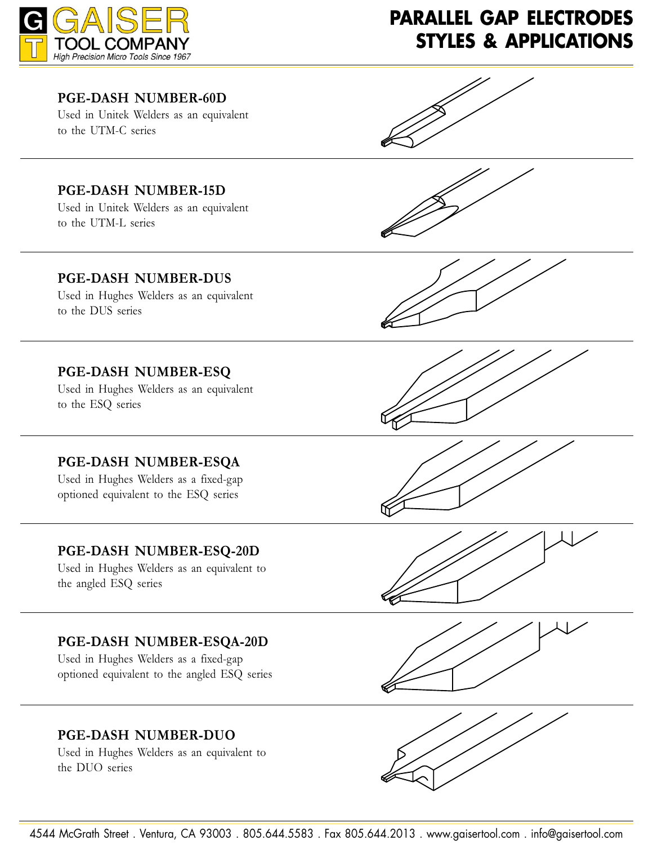

# **PARALLEL GAP ELECTRODES STYLES & APPLICATIONS**

#### **PGE-DASH NUMBER-60D**

Used in Unitek Welders as an equivalent to the UTM-C series

### **PGE-DASH NUMBER-15D**

Used in Unitek Welders as an equivalent to the UTM-L series





#### **PGE-DASH NUMBER-DUS**

Used in Hughes Welders as an equivalent to the DUS series

#### **PGE-DASH NUMBER-ESO**

Used in Hughes Welders as an equivalent to the ESQ series

#### **PGE-DASH NUMBER-ESOA**

Used in Hughes Welders as a fixed-gap optioned equivalent to the ESQ series

#### **PGE-DASH NUMBER-ESO-20D**

Used in Hughes Welders as an equivalent to the angled ESQ series

#### **PGE-DASH NUMBER-ESOA-20D**

Used in Hughes Welders as a fixed-gap optioned equivalent to the angled ESQ series

#### **PGE-DASH NUMBER-DUO**

Used in Hughes Welders as an equivalent to the DUO series











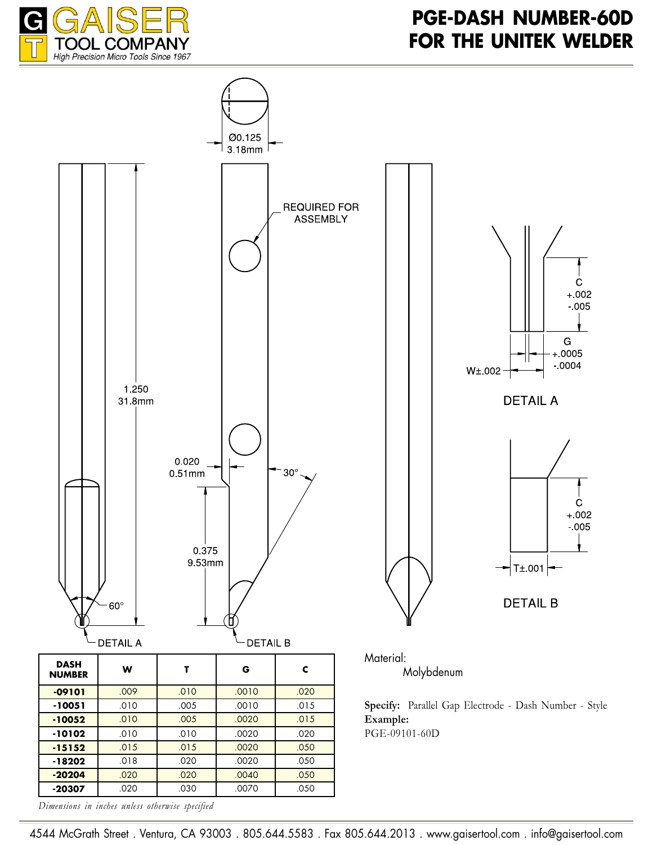





Molybdenum

**Specify:** Parallel Gap Electrode - Dash Number - Style PGE-09101-60D

*Dimensions in inches unless otherwise specified*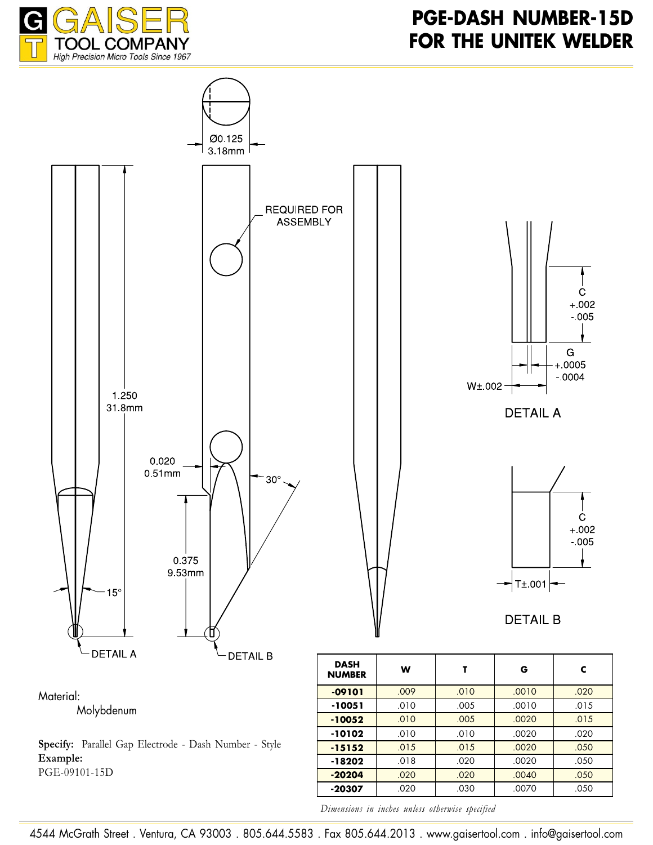



Material:

Molybdenum

**Specify:** Parallel Gap Electrode - Dash Number - Style Example: PGE-09101-15D

<mark>09101 .009 .0010 .0010 .0010 .0010 .00</mark>1 **-10051** .010 .005 .0010 .015 10052 .010 .005 .0020 .015 **-10102** .010 .010 .010 .020 <mark>-15152 .</mark>015 .015 .0020 .050 **-18202** .018 .020 .020 .050 **-20204** .020 .020 .020 .050 **-20307** .020 .030 .030 .050

*Dimensions in inches unless otherwise specified* 

4544 McGrath Street . Ventura, CA 93003 . 805.644.5583 . Fax 805.644.2013 . www.gaisertool.com . info@gaisertool.com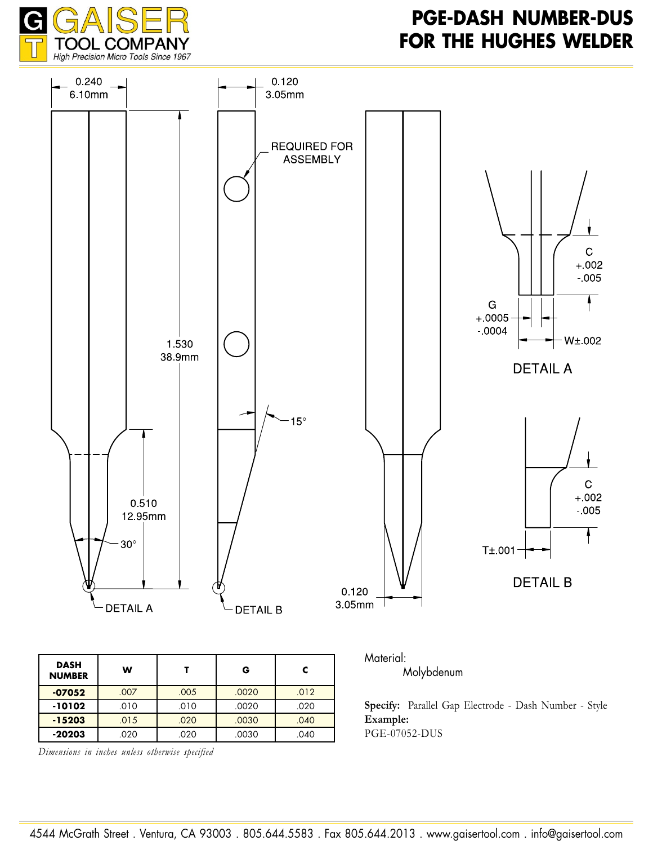

### **PGE-DASH NUMBER-DUS FOR THE HUGHES WELDER**



*Dimensions in inches unless otherwise specified* 

040 .020 .015 .020 .0030 .040 **-20203** .020 .020 .020 .040 Example:

**PGE-07052-DUS**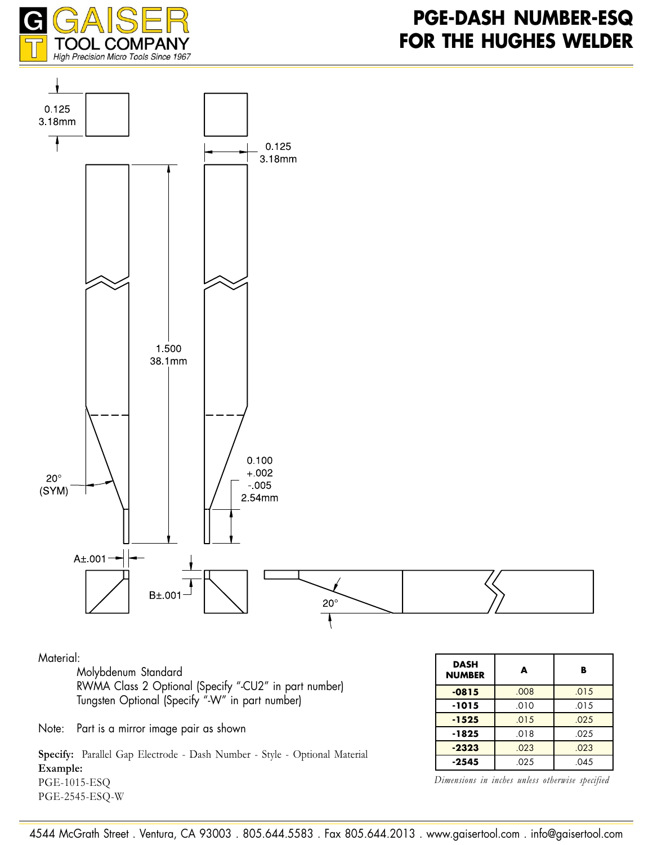



#### Material:

Molybdenum Standard RWMA Class 2 Optional (Specify "-CU2" in part number) Tungsten Optional (Specify "-W" in part number)

Note: Part is a mirror image pair as shown

**Specify:** Parallel Gap Electrode - Dash Number - Style - Optional Material Example: PGE-1015-ESO PGE-2545-ESO-W

| DASH<br><b>NUMBER</b> | A    | в    |
|-----------------------|------|------|
| $-0815$               | .008 | .015 |
| -1015                 | .010 | .015 |
| $-1525$               | .015 | .025 |
| -1825                 | .018 | .025 |
| $-2323$               | .023 | .023 |
| -2545                 | .025 | .045 |

*Dimensions in inches unless otherwise specified*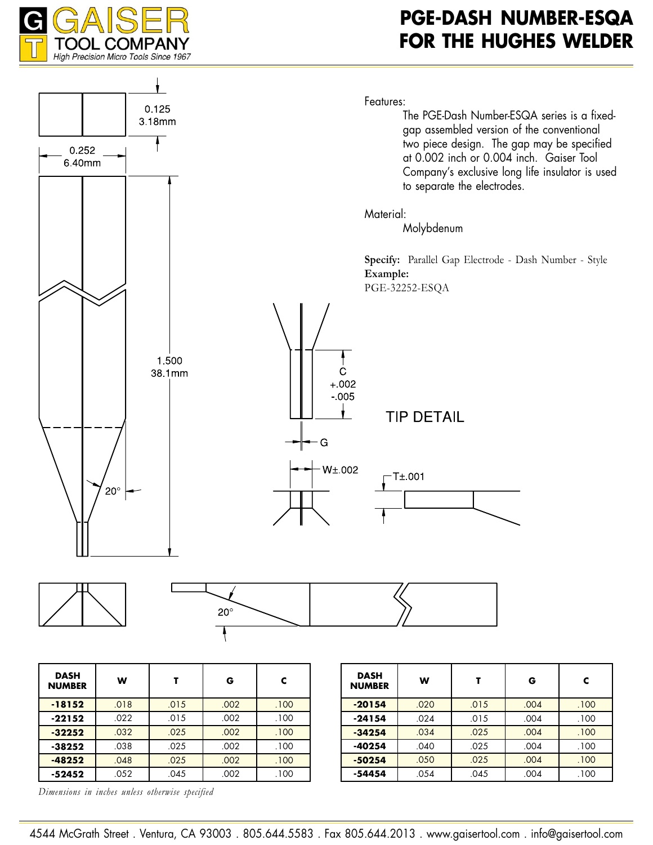

### **PGE-DASH NUMBER-ESQA FOR THE HUGHES WELDER**



*Dimensions in inches unless otherwise specified* 

**-38252** .038 .025 .002 .000 **-48252** .048 .025 .002 .100 **-52452** .052 .045 .002 .100

**-40254** .040 .025 .004 .100 **-50254** .050 .025 .004 .100 **-54454** .054 .045 .004 .100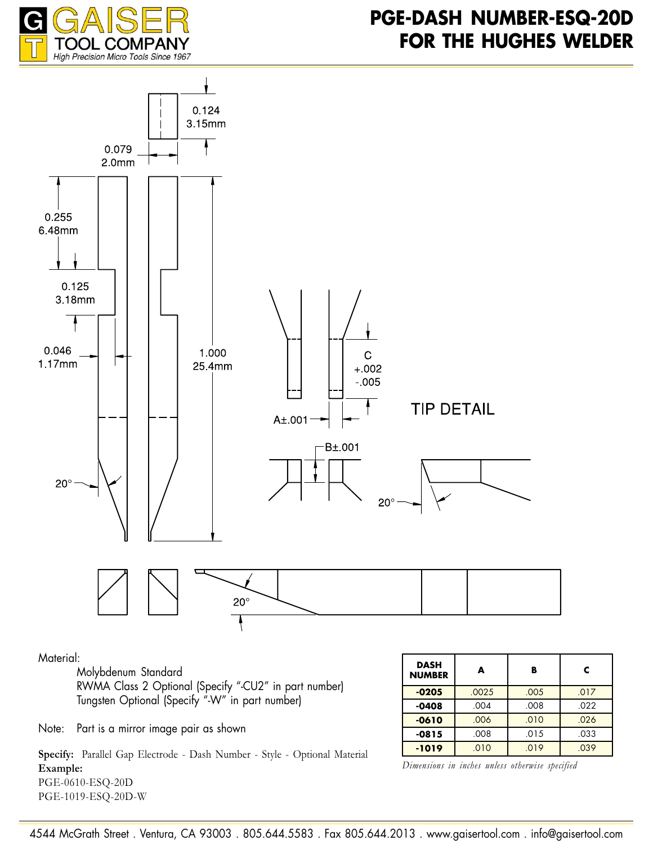



Material:

Molybdenum Standard RWMA Class 2 Optional (Specify "-CU2" in part number) Tungsten Optional (Specify "-W" in part number)

| <b>DASH</b><br><b>NUMBER</b> | A     | B    | c    |
|------------------------------|-------|------|------|
| $-0205$                      | .0025 | .005 | .017 |
| $-0408$                      | .004  | .008 | .022 |
| $-0610$                      | .006  | .010 | .026 |
| $-0815$                      | .008  | .015 | .033 |
| $-1019$                      | .010  | .019 | .039 |

Note: Part is a mirror image pair as shown

**Specify:** Parallel Gap Electrode - Dash Number - Style - Optional Material Example: PGE-0610-ESO-20D PGE-1019-ESO-20D-W

*Dimensions in inches unless otherwise specified* 

4544 McGrath Street . Ventura, CA 93003 . 805.644.5583 . Fax 805.644.2013 . www.gaisertool.com . info@gaisertool.com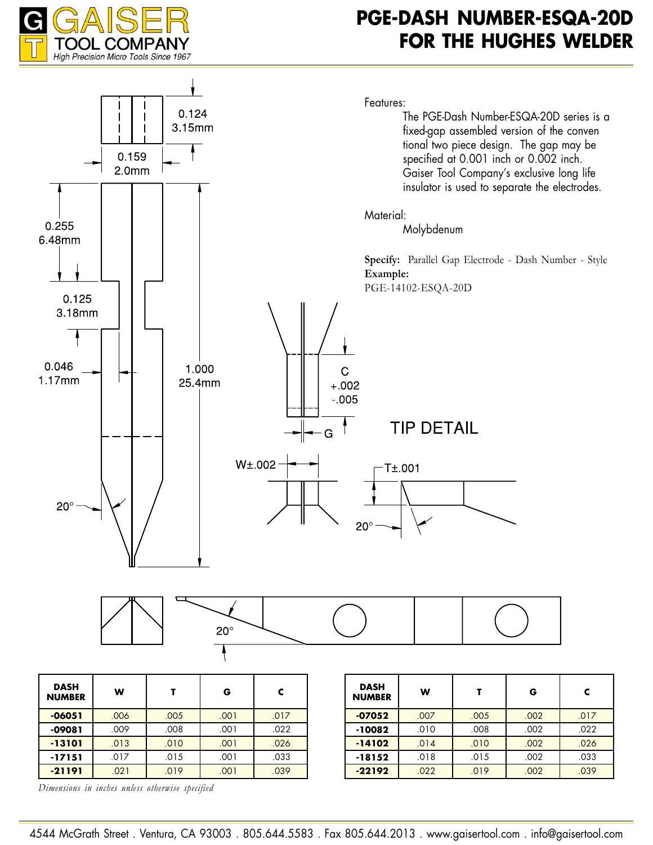

### **PGE-DASH NUMBER-ESQA-20D FOR THE HUGHES WELDER**



*Dimensions in inches unless otherwise specified*